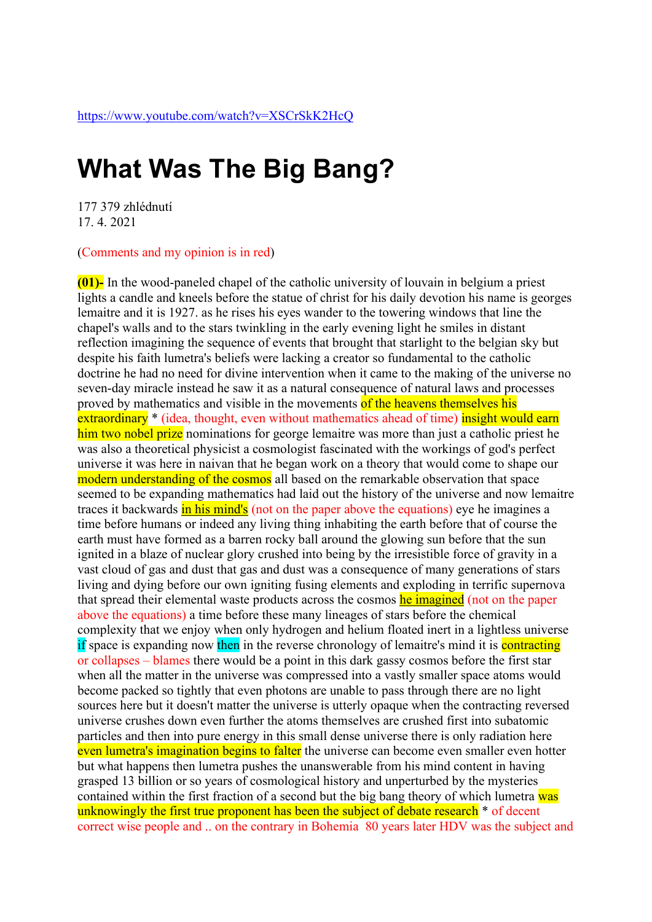## **What Was The Big Bang?**

177 379 zhlédnutí 17. 4. 2021

(Comments and my opinion is in red)

**(01)-** In the wood-paneled chapel of the catholic university of louvain in belgium a priest lights a candle and kneels before the statue of christ for his daily devotion his name is georges lemaitre and it is 1927. as he rises his eyes wander to the towering windows that line the chapel's walls and to the stars twinkling in the early evening light he smiles in distant reflection imagining the sequence of events that brought that starlight to the belgian sky but despite his faith lumetra's beliefs were lacking a creator so fundamental to the catholic doctrine he had no need for divine intervention when it came to the making of the universe no seven-day miracle instead he saw it as a natural consequence of natural laws and processes proved by mathematics and visible in the movements of the heavens themselves his extraordinary<sup>\*</sup> (idea, thought, even without mathematics ahead of time) insight would earn him two nobel prize nominations for george lemaitre was more than just a catholic priest he was also a theoretical physicist a cosmologist fascinated with the workings of god's perfect universe it was here in naivan that he began work on a theory that would come to shape our modern understanding of the cosmos all based on the remarkable observation that space seemed to be expanding mathematics had laid out the history of the universe and now lemaitre traces it backwards in his mind's (not on the paper above the equations) eye he imagines a time before humans or indeed any living thing inhabiting the earth before that of course the earth must have formed as a barren rocky ball around the glowing sun before that the sun ignited in a blaze of nuclear glory crushed into being by the irresistible force of gravity in a vast cloud of gas and dust that gas and dust was a consequence of many generations of stars living and dying before our own igniting fusing elements and exploding in terrific supernova that spread their elemental waste products across the cosmos he imagined (not on the paper above the equations) a time before these many lineages of stars before the chemical complexity that we enjoy when only hydrogen and helium floated inert in a lightless universe if space is expanding now then in the reverse chronology of lemaitre's mind it is contracting or collapses – blames there would be a point in this dark gassy cosmos before the first star when all the matter in the universe was compressed into a vastly smaller space atoms would become packed so tightly that even photons are unable to pass through there are no light sources here but it doesn't matter the universe is utterly opaque when the contracting reversed universe crushes down even further the atoms themselves are crushed first into subatomic particles and then into pure energy in this small dense universe there is only radiation here even lumetra's imagination begins to falter the universe can become even smaller even hotter but what happens then lumetra pushes the unanswerable from his mind content in having grasped 13 billion or so years of cosmological history and unperturbed by the mysteries contained within the first fraction of a second but the big bang theory of which lumetra was unknowingly the first true proponent has been the subject of debate research  $*$  of decent correct wise people and .. on the contrary in Bohemia 80 years later HDV was the subject and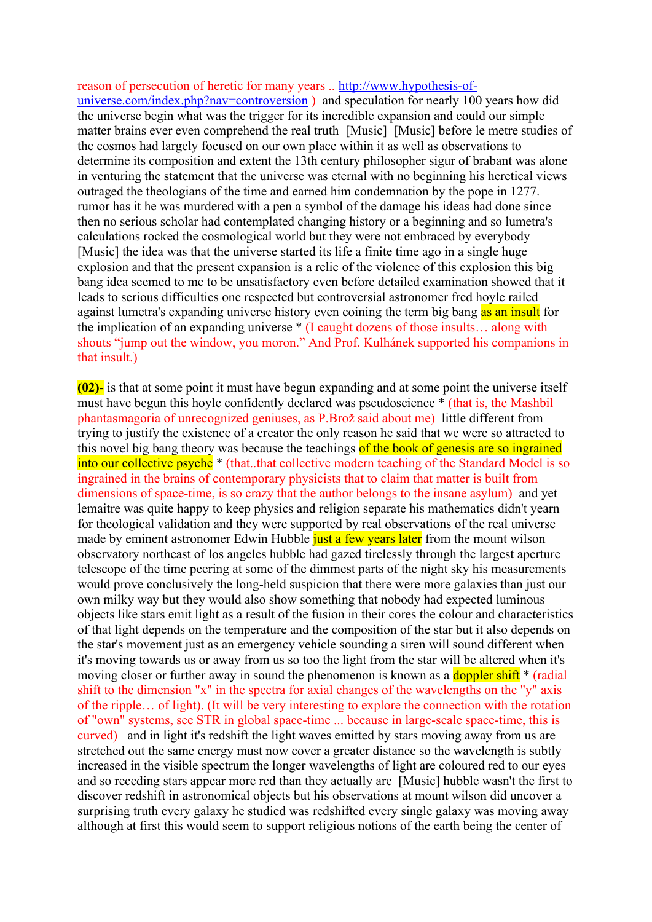reason of persecution of heretic for many years .. [http://www.hypothesis-of](http://www.hypothesis-of-universe.com/index.php?nav=controversion)universe.com/index.php?nav=controversion) and speculation for nearly 100 years how did the universe begin what was the trigger for its incredible expansion and could our simple matter brains ever even comprehend the real truth [Music] [Music] before le metre studies of the cosmos had largely focused on our own place within it as well as observations to determine its composition and extent the 13th century philosopher sigur of brabant was alone in venturing the statement that the universe was eternal with no beginning his heretical views outraged the theologians of the time and earned him condemnation by the pope in 1277. rumor has it he was murdered with a pen a symbol of the damage his ideas had done since then no serious scholar had contemplated changing history or a beginning and so lumetra's calculations rocked the cosmological world but they were not embraced by everybody [Music] the idea was that the universe started its life a finite time ago in a single huge explosion and that the present expansion is a relic of the violence of this explosion this big bang idea seemed to me to be unsatisfactory even before detailed examination showed that it leads to serious difficulties one respected but controversial astronomer fred hoyle railed against lumetra's expanding universe history even coining the term big bang as an insult for the implication of an expanding universe \* (I caught dozens of those insults… along with shouts "jump out the window, you moron." And Prof. Kulhánek supported his companions in that insult.)

**(02)-** is that at some point it must have begun expanding and at some point the universe itself must have begun this hoyle confidently declared was pseudoscience \* (that is, the Mashbil phantasmagoria of unrecognized geniuses, as P.Brož said about me) little different from trying to justify the existence of a creator the only reason he said that we were so attracted to this novel big bang theory was because the teachings of the book of genesis are so ingrained into our collective psyche \* (that..that collective modern teaching of the Standard Model is so ingrained in the brains of contemporary physicists that to claim that matter is built from dimensions of space-time, is so crazy that the author belongs to the insane asylum) and yet lemaitre was quite happy to keep physics and religion separate his mathematics didn't yearn for theological validation and they were supported by real observations of the real universe made by eminent astronomer Edwin Hubble just a few years later from the mount wilson observatory northeast of los angeles hubble had gazed tirelessly through the largest aperture telescope of the time peering at some of the dimmest parts of the night sky his measurements would prove conclusively the long-held suspicion that there were more galaxies than just our own milky way but they would also show something that nobody had expected luminous objects like stars emit light as a result of the fusion in their cores the colour and characteristics of that light depends on the temperature and the composition of the star but it also depends on the star's movement just as an emergency vehicle sounding a siren will sound different when it's moving towards us or away from us so too the light from the star will be altered when it's moving closer or further away in sound the phenomenon is known as a **doppler shift** \* (radial shift to the dimension "x" in the spectra for axial changes of the wavelengths on the "y" axis of the ripple… of light). (It will be very interesting to explore the connection with the rotation of "own" systems, see STR in global space-time ... because in large-scale space-time, this is curved) and in light it's redshift the light waves emitted by stars moving away from us are stretched out the same energy must now cover a greater distance so the wavelength is subtly increased in the visible spectrum the longer wavelengths of light are coloured red to our eyes and so receding stars appear more red than they actually are [Music] hubble wasn't the first to discover redshift in astronomical objects but his observations at mount wilson did uncover a surprising truth every galaxy he studied was redshifted every single galaxy was moving away although at first this would seem to support religious notions of the earth being the center of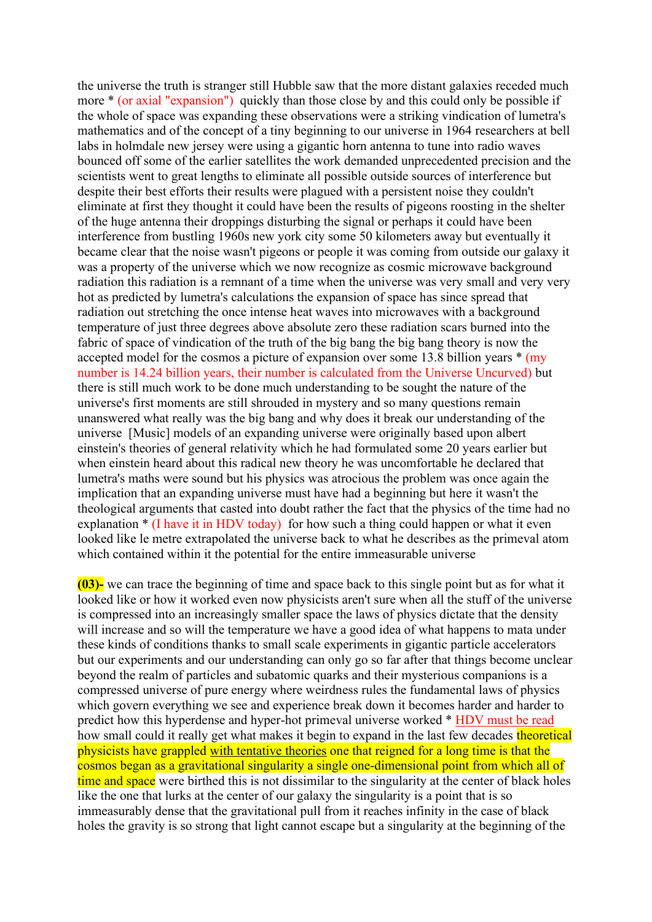the universe the truth is stranger still Hubble saw that the more distant galaxies receded much more \* (or axial "expansion") quickly than those close by and this could only be possible if the whole of space was expanding these observations were a striking vindication of lumetra's mathematics and of the concept of a tiny beginning to our universe in 1964 researchers at bell labs in holmdale new jersey were using a gigantic horn antenna to tune into radio waves bounced off some of the earlier satellites the work demanded unprecedented precision and the scientists went to great lengths to eliminate all possible outside sources of interference but despite their best efforts their results were plagued with a persistent noise they couldn't eliminate at first they thought it could have been the results of pigeons roosting in the shelter of the huge antenna their droppings disturbing the signal or perhaps it could have been interference from bustling 1960s new york city some 50 kilometers away but eventually it became clear that the noise wasn't pigeons or people it was coming from outside our galaxy it was a property of the universe which we now recognize as cosmic microwave background radiation this radiation is a remnant of a time when the universe was very small and very very hot as predicted by lumetra's calculations the expansion of space has since spread that radiation out stretching the once intense heat waves into microwaves with a background temperature of just three degrees above absolute zero these radiation scars burned into the fabric of space of vindication of the truth of the big bang the big bang theory is now the accepted model for the cosmos a picture of expansion over some 13.8 billion years \* (my number is 14.24 billion years, their number is calculated from the Universe Uncurved) but there is still much work to be done much understanding to be sought the nature of the universe's first moments are still shrouded in mystery and so many questions remain unanswered what really was the big bang and why does it break our understanding of the universe [Music] models of an expanding universe were originally based upon albert einstein's theories of general relativity which he had formulated some 20 years earlier but when einstein heard about this radical new theory he was uncomfortable he declared that lumetra's maths were sound but his physics was atrocious the problem was once again the implication that an expanding universe must have had a beginning but here it wasn't the theological arguments that casted into doubt rather the fact that the physics of the time had no explanation  $*(I \text{ have it in HDV today})$  for how such a thing could happen or what it even looked like le metre extrapolated the universe back to what he describes as the primeval atom which contained within it the potential for the entire immeasurable universe

**(03)-** we can trace the beginning of time and space back to this single point but as for what it looked like or how it worked even now physicists aren't sure when all the stuff of the universe is compressed into an increasingly smaller space the laws of physics dictate that the density will increase and so will the temperature we have a good idea of what happens to mata under these kinds of conditions thanks to small scale experiments in gigantic particle accelerators but our experiments and our understanding can only go so far after that things become unclear beyond the realm of particles and subatomic quarks and their mysterious companions is a compressed universe of pure energy where weirdness rules the fundamental laws of physics which govern everything we see and experience break down it becomes harder and harder to predict how this hyperdense and hyper-hot primeval universe worked \* HDV must be read how small could it really get what makes it begin to expand in the last few decades theoretical physicists have grappled with tentative theories one that reigned for a long time is that the cosmos began as a gravitational singularity a single one-dimensional point from which all of time and space were birthed this is not dissimilar to the singularity at the center of black holes like the one that lurks at the center of our galaxy the singularity is a point that is so immeasurably dense that the gravitational pull from it reaches infinity in the case of black holes the gravity is so strong that light cannot escape but a singularity at the beginning of the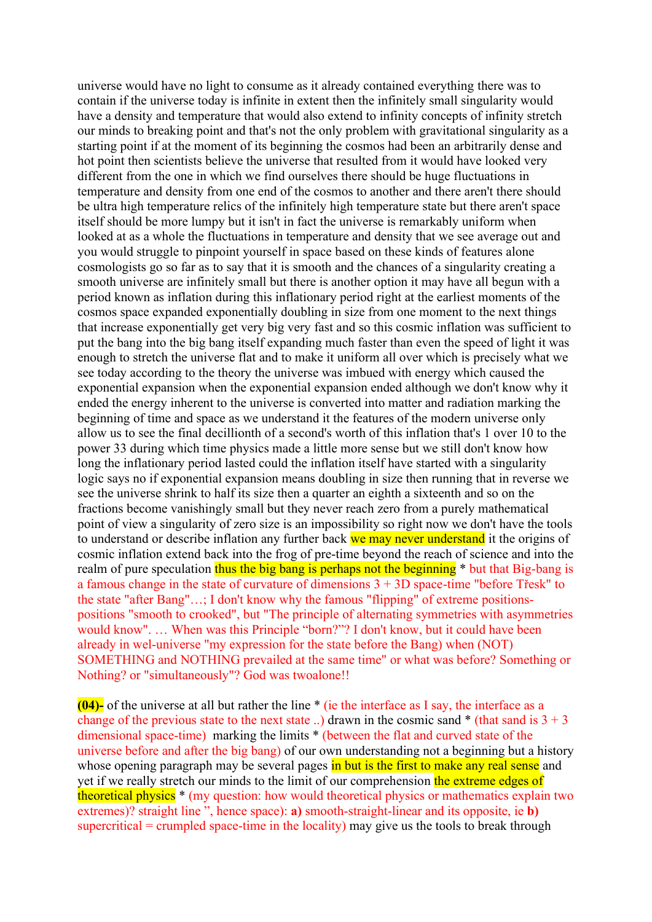universe would have no light to consume as it already contained everything there was to contain if the universe today is infinite in extent then the infinitely small singularity would have a density and temperature that would also extend to infinity concepts of infinity stretch our minds to breaking point and that's not the only problem with gravitational singularity as a starting point if at the moment of its beginning the cosmos had been an arbitrarily dense and hot point then scientists believe the universe that resulted from it would have looked very different from the one in which we find ourselves there should be huge fluctuations in temperature and density from one end of the cosmos to another and there aren't there should be ultra high temperature relics of the infinitely high temperature state but there aren't space itself should be more lumpy but it isn't in fact the universe is remarkably uniform when looked at as a whole the fluctuations in temperature and density that we see average out and you would struggle to pinpoint yourself in space based on these kinds of features alone cosmologists go so far as to say that it is smooth and the chances of a singularity creating a smooth universe are infinitely small but there is another option it may have all begun with a period known as inflation during this inflationary period right at the earliest moments of the cosmos space expanded exponentially doubling in size from one moment to the next things that increase exponentially get very big very fast and so this cosmic inflation was sufficient to put the bang into the big bang itself expanding much faster than even the speed of light it was enough to stretch the universe flat and to make it uniform all over which is precisely what we see today according to the theory the universe was imbued with energy which caused the exponential expansion when the exponential expansion ended although we don't know why it ended the energy inherent to the universe is converted into matter and radiation marking the beginning of time and space as we understand it the features of the modern universe only allow us to see the final decillionth of a second's worth of this inflation that's 1 over 10 to the power 33 during which time physics made a little more sense but we still don't know how long the inflationary period lasted could the inflation itself have started with a singularity logic says no if exponential expansion means doubling in size then running that in reverse we see the universe shrink to half its size then a quarter an eighth a sixteenth and so on the fractions become vanishingly small but they never reach zero from a purely mathematical point of view a singularity of zero size is an impossibility so right now we don't have the tools to understand or describe inflation any further back we may never understand it the origins of cosmic inflation extend back into the frog of pre-time beyond the reach of science and into the realm of pure speculation thus the big bang is perhaps not the beginning \* but that Big-bang is a famous change in the state of curvature of dimensions  $3 + 3D$  space-time "before Třesk" to the state "after Bang"…; I don't know why the famous "flipping" of extreme positionspositions "smooth to crooked", but "The principle of alternating symmetries with asymmetries would know". … When was this Principle "born?"? I don't know, but it could have been already in wel-universe "my expression for the state before the Bang) when (NOT) SOMETHING and NOTHING prevailed at the same time" or what was before? Something or Nothing? or "simultaneously"? God was twoalone!!

**(04)-** of the universe at all but rather the line \* (ie the interface as I say, the interface as a change of the previous state to the next state ..) drawn in the cosmic sand  $*$  (that sand is  $3 + 3$ ) dimensional space-time) marking the limits \* (between the flat and curved state of the universe before and after the big bang) of our own understanding not a beginning but a history whose opening paragraph may be several pages in but is the first to make any real sense and yet if we really stretch our minds to the limit of our comprehension the extreme edges of theoretical physics \* (my question: how would theoretical physics or mathematics explain two extremes)? straight line ", hence space): **a)** smooth-straight-linear and its opposite, ie **b)** supercritical  $=$  crumpled space-time in the locality) may give us the tools to break through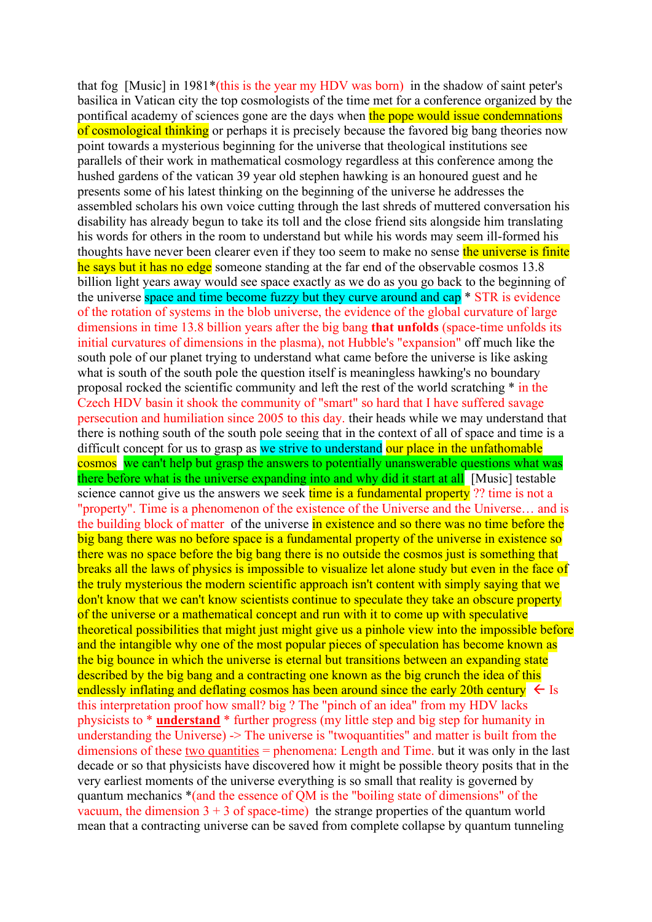that fog [Music] in 1981\*(this is the year my HDV was born) in the shadow of saint peter's basilica in Vatican city the top cosmologists of the time met for a conference organized by the pontifical academy of sciences gone are the days when the pope would issue condemnations of cosmological thinking or perhaps it is precisely because the favored big bang theories now point towards a mysterious beginning for the universe that theological institutions see parallels of their work in mathematical cosmology regardless at this conference among the hushed gardens of the vatican 39 year old stephen hawking is an honoured guest and he presents some of his latest thinking on the beginning of the universe he addresses the assembled scholars his own voice cutting through the last shreds of muttered conversation his disability has already begun to take its toll and the close friend sits alongside him translating his words for others in the room to understand but while his words may seem ill-formed his thoughts have never been clearer even if they too seem to make no sense the universe is finite he says but it has no edge someone standing at the far end of the observable cosmos 13.8 billion light years away would see space exactly as we do as you go back to the beginning of the universe space and time become fuzzy but they curve around and cap \* STR is evidence of the rotation of systems in the blob universe, the evidence of the global curvature of large dimensions in time 13.8 billion years after the big bang **that unfolds** (space-time unfolds its initial curvatures of dimensions in the plasma), not Hubble's "expansion" off much like the south pole of our planet trying to understand what came before the universe is like asking what is south of the south pole the question itself is meaningless hawking's no boundary proposal rocked the scientific community and left the rest of the world scratching \* in the Czech HDV basin it shook the community of "smart" so hard that I have suffered savage persecution and humiliation since 2005 to this day. their heads while we may understand that there is nothing south of the south pole seeing that in the context of all of space and time is a difficult concept for us to grasp as we strive to understand our place in the unfathomable cosmos we can't help but grasp the answers to potentially unanswerable questions what was there before what is the universe expanding into and why did it start at all [Music] testable science cannot give us the answers we seek time is a fundamental property ?? time is not a "property". Time is a phenomenon of the existence of the Universe and the Universe… and is the building block of matter of the universe in existence and so there was no time before the big bang there was no before space is a fundamental property of the universe in existence so there was no space before the big bang there is no outside the cosmos just is something that breaks all the laws of physics is impossible to visualize let alone study but even in the face of the truly mysterious the modern scientific approach isn't content with simply saying that we don't know that we can't know scientists continue to speculate they take an obscure property of the universe or a mathematical concept and run with it to come up with speculative theoretical possibilities that might just might give us a pinhole view into the impossible before and the intangible why one of the most popular pieces of speculation has become known as the big bounce in which the universe is eternal but transitions between an expanding state described by the big bang and a contracting one known as the big crunch the idea of this endlessly inflating and deflating cosmos has been around since the early 20th century  $\leq$  Is this interpretation proof how small? big ? The "pinch of an idea" from my HDV lacks physicists to \* **understand** \* further progress (my little step and big step for humanity in understanding the Universe) -> The universe is "twoquantities" and matter is built from the dimensions of these two quantities = phenomena: Length and Time. but it was only in the last decade or so that physicists have discovered how it might be possible theory posits that in the very earliest moments of the universe everything is so small that reality is governed by quantum mechanics \*(and the essence of QM is the "boiling state of dimensions" of the vacuum, the dimension  $3 + 3$  of space-time) the strange properties of the quantum world mean that a contracting universe can be saved from complete collapse by quantum tunneling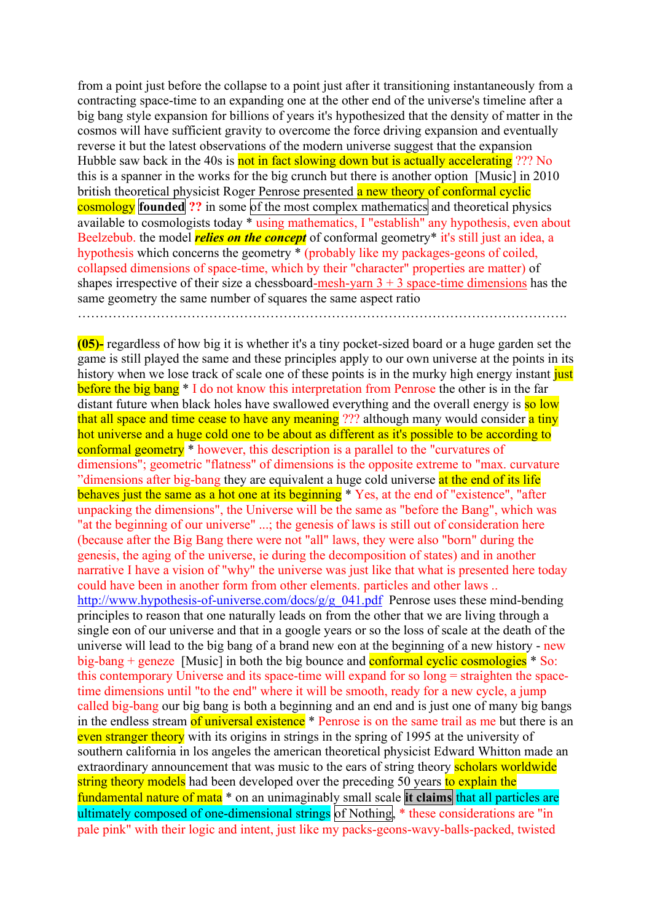from a point just before the collapse to a point just after it transitioning instantaneously from a contracting space-time to an expanding one at the other end of the universe's timeline after a big bang style expansion for billions of years it's hypothesized that the density of matter in the cosmos will have sufficient gravity to overcome the force driving expansion and eventually reverse it but the latest observations of the modern universe suggest that the expansion Hubble saw back in the 40s is not in fact slowing down but is actually accelerating ??? No this is a spanner in the works for the big crunch but there is another option [Music] in 2010 british theoretical physicist Roger Penrose presented a new theory of conformal cyclic **cosmology founded** ?? in some of the most complex mathematics and theoretical physics available to cosmologists today \* using mathematics, I "establish" any hypothesis, even about Beelzebub. the model *relies on the concept* of conformal geometry\* it's still just an idea, a hypothesis which concerns the geometry \* (probably like my packages-geons of coiled, collapsed dimensions of space-time, which by their "character" properties are matter) of shapes irrespective of their size a chessboard-mesh-yarn  $3 + 3$  space-time dimensions has the same geometry the same number of squares the same aspect ratio ………………………………………………………………………………………………….

**(05)-** regardless of how big it is whether it's a tiny pocket-sized board or a huge garden set the game is still played the same and these principles apply to our own universe at the points in its history when we lose track of scale one of these points is in the murky high energy instant just before the big bang \* I do not know this interpretation from Penrose the other is in the far distant future when black holes have swallowed everything and the overall energy is so low that all space and time cease to have any meaning ??? although many would consider a tiny hot universe and a huge cold one to be about as different as it's possible to be according to conformal geometry \* however, this description is a parallel to the "curvatures of dimensions"; geometric "flatness" of dimensions is the opposite extreme to "max. curvature "dimensions after big-bang they are equivalent a huge cold universe at the end of its life" behaves just the same as a hot one at its beginning \* Yes, at the end of "existence", "after unpacking the dimensions", the Universe will be the same as "before the Bang", which was "at the beginning of our universe" ...; the genesis of laws is still out of consideration here (because after the Big Bang there were not "all" laws, they were also "born" during the genesis, the aging of the universe, ie during the decomposition of states) and in another narrative I have a vision of "why" the universe was just like that what is presented here today could have been in another form from other elements. particles and other laws .. [http://www.hypothesis-of-universe.com/docs/g/g\\_041.pdf](http://www.hypothesis-of-universe.com/docs/g/g_041.pdf) Penrose uses these mind-bending principles to reason that one naturally leads on from the other that we are living through a single eon of our universe and that in a google years or so the loss of scale at the death of the universe will lead to the big bang of a brand new eon at the beginning of a new history - new big-bang + geneze [Music] in both the big bounce and conformal cyclic cosmologies  $*$  So: this contemporary Universe and its space-time will expand for so long = straighten the spacetime dimensions until "to the end" where it will be smooth, ready for a new cycle, a jump called big-bang our big bang is both a beginning and an end and is just one of many big bangs in the endless stream of universal existence \* Penrose is on the same trail as me but there is an even stranger theory with its origins in strings in the spring of 1995 at the university of southern california in los angeles the american theoretical physicist Edward Whitton made an extraordinary announcement that was music to the ears of string theory scholars worldwide string theory models had been developed over the preceding 50 years to explain the fundamental nature of mata \* on an unimaginably small scale **it claims** that all particles are ultimately composed of one-dimensional strings of Nothing,  $*$  these considerations are "in pale pink" with their logic and intent, just like my packs-geons-wavy-balls-packed, twisted